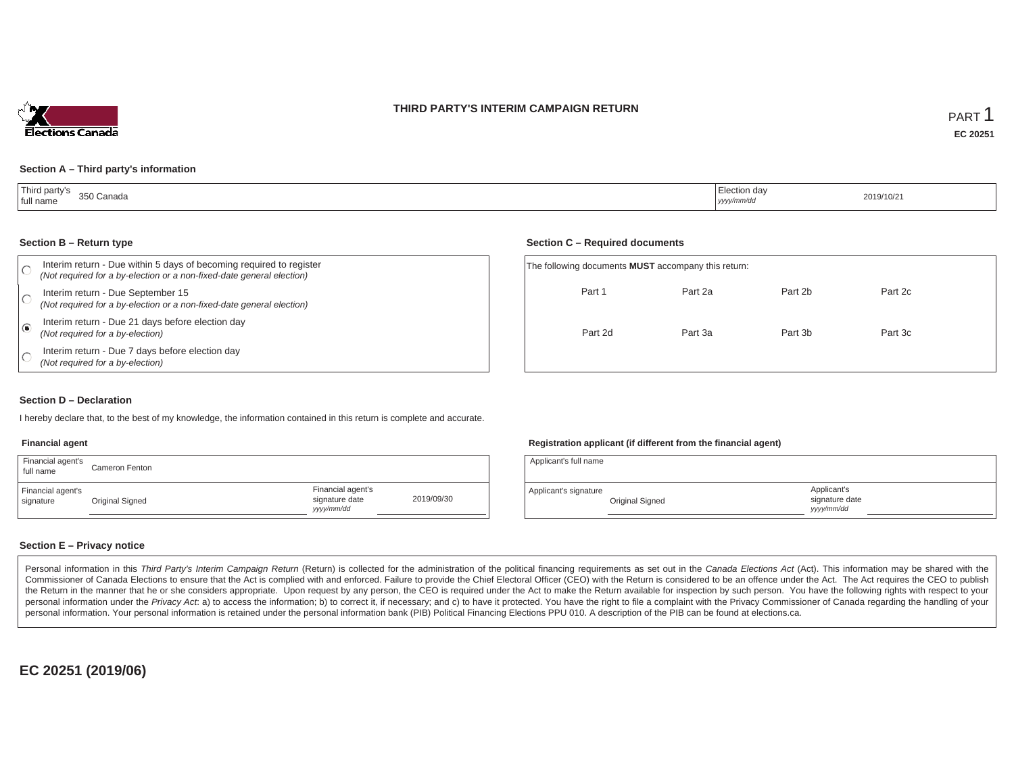



#### **Section A – Third party's information**

| Third party's<br>350 Canada<br>full name<br>--- -------- | $\overline{\phantom{a}}$<br>  Election day<br>.<br>yyyy/mm/dd | 2019/10/21 |
|----------------------------------------------------------|---------------------------------------------------------------|------------|
|----------------------------------------------------------|---------------------------------------------------------------|------------|

#### **Section B – Return type**

|   | Interim return - Due within 5 days of becoming required to register<br>(Not required for a by-election or a non-fixed-date general election) | The following documents MUST accomp |  |
|---|----------------------------------------------------------------------------------------------------------------------------------------------|-------------------------------------|--|
|   | Interim return - Due September 15<br>(Not required for a by-election or a non-fixed-date general election)                                   | Part 1                              |  |
| O | Interim return - Due 21 days before election day<br>(Not required for a by-election)                                                         | Part 2d                             |  |
|   | Interim return - Due 7 days before election day<br>(Not required for a by-election)                                                          |                                     |  |

#### **Section C – Required documents**

| The following documents <b>MUST</b> accompany this return: |         |         |         |  |  |  |  |  |  |  |
|------------------------------------------------------------|---------|---------|---------|--|--|--|--|--|--|--|
| Part 1                                                     | Part 2a | Part 2b | Part 2c |  |  |  |  |  |  |  |
| Part 2d                                                    | Part 3a | Part 3b | Part 3c |  |  |  |  |  |  |  |
|                                                            |         |         |         |  |  |  |  |  |  |  |

### **Section D – Declaration**

I hereby declare that, to the best of my knowledge, the information contained in this return is complete and accurate.

## **Financial agent**

| Financial agent's<br>full name | Cameron Fenton  |                                                  |            |
|--------------------------------|-----------------|--------------------------------------------------|------------|
| Financial agent's<br>signature | Original Signed | Financial agent's<br>signature date<br>vyy/mm/dd | 2019/09/30 |

## **Registration applicant (if different from the financial agent)**

| Applicant's full name |                 |                                             |  |
|-----------------------|-----------------|---------------------------------------------|--|
| Applicant's signature | Original Signed | Applicant's<br>signature date<br>vyyy/mm/dd |  |

## **Section E – Privacy notice**

Personal information in this Third Party's Interim Campaign Return (Return) is collected for the administration of the political financing requirements as set out in the Canada Elections Act (Act). This information may be Commissioner of Canada Elections to ensure that the Act is complied with and enforced. Failure to provide the Chief Electoral Officer (CEO) with the Return is considered to be an offence under the Act. The Act requires the the Return in the manner that he or she considers appropriate. Upon request by any person, the CEO is required under the Act to make the Return available for inspection by such person. You have the following rights with re personal information under the Privacy Act. a) to access the information; b) to correct it, if necessary; and c) to have it protected. You have the right to file a complaint with the Privacy Commissioner of Canada regardin personal information. Your personal information is retained under the personal information bank (PIB) Political Financing Elections PPU 010. A description of the PIB can be found at elections.ca.

**EC 20251 (2019/06)**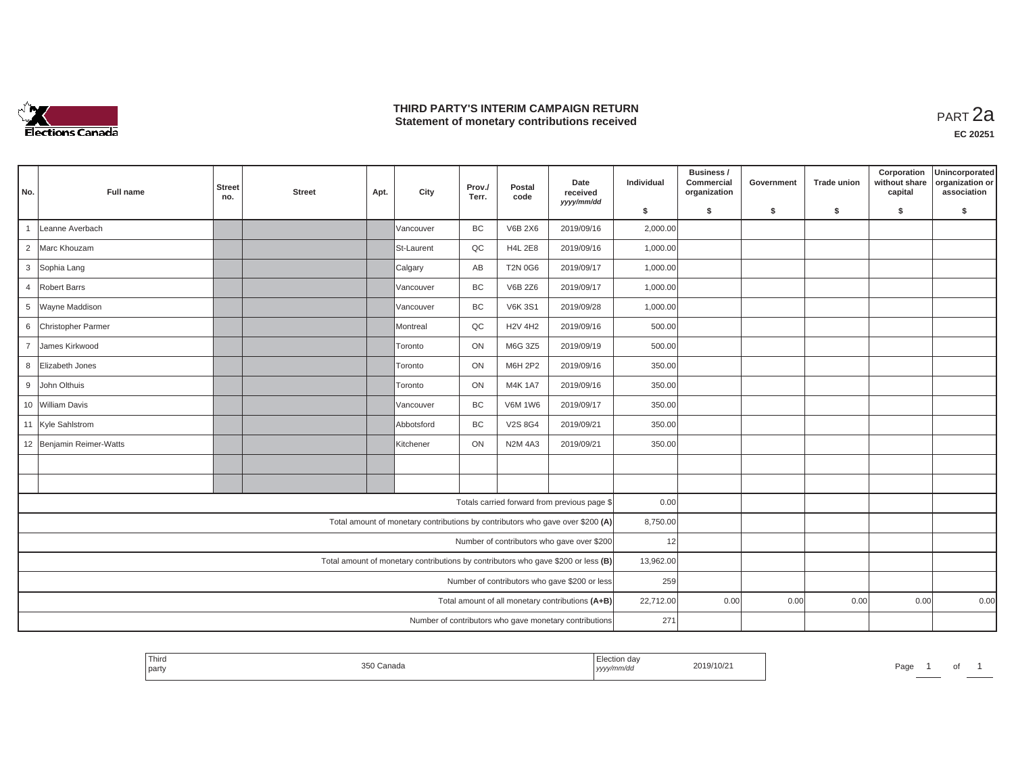

## **THIRD PARTY'S INTERIM CAMPAIGN RETURN THIRD PARTY'S INTERIM CAMPAIGN RETURN<br>Statement of monetary contributions received PART 2a**

| No.            | Full name                | <b>Street</b><br>no. | <b>Street</b> | Apt. | City                                                                              | Prov./<br>Terr. | Postal<br>code | Date<br>received<br>yyyy/mm/dd                         | Individual | Business /<br>Commercial<br>organization | Government | <b>Trade union</b> | Corporation<br>without share<br>capital | Unincorporated<br>organization or<br>association |
|----------------|--------------------------|----------------------|---------------|------|-----------------------------------------------------------------------------------|-----------------|----------------|--------------------------------------------------------|------------|------------------------------------------|------------|--------------------|-----------------------------------------|--------------------------------------------------|
|                |                          |                      |               |      |                                                                                   |                 |                |                                                        | \$         | s.                                       | \$         | S.                 | \$                                      | \$                                               |
|                | Leanne Averbach          |                      |               |      | Vancouver                                                                         | <b>BC</b>       | <b>V6B 2X6</b> | 2019/09/16                                             | 2,000.00   |                                          |            |                    |                                         |                                                  |
| $\overline{2}$ | Marc Khouzam             |                      |               |      | St-Laurent                                                                        | QC              | <b>H4L 2E8</b> | 2019/09/16                                             | 1,000.00   |                                          |            |                    |                                         |                                                  |
|                | 3 Sophia Lang            |                      |               |      | Calgary                                                                           | AB              | <b>T2N 0G6</b> | 2019/09/17                                             | 1,000.00   |                                          |            |                    |                                         |                                                  |
| $\overline{4}$ | Robert Barrs             |                      |               |      | Vancouver                                                                         | BC              | V6B 2Z6        | 2019/09/17                                             | 1,000.00   |                                          |            |                    |                                         |                                                  |
|                | 5 Wayne Maddison         |                      |               |      | Vancouver                                                                         | <b>BC</b>       | <b>V6K 3S1</b> | 2019/09/28                                             | 1,000.00   |                                          |            |                    |                                         |                                                  |
| 6              | Christopher Parmer       |                      |               |      | Montreal                                                                          | QC              | <b>H2V 4H2</b> | 2019/09/16                                             | 500.00     |                                          |            |                    |                                         |                                                  |
| $\overline{7}$ | James Kirkwood           |                      |               |      | <b>Toronto</b>                                                                    | ON              | M6G 3Z5        | 2019/09/19                                             | 500.00     |                                          |            |                    |                                         |                                                  |
| 8              | Elizabeth Jones          |                      |               |      | Toronto                                                                           | ON              | M6H 2P2        | 2019/09/16                                             | 350.00     |                                          |            |                    |                                         |                                                  |
|                | 9 John Olthuis           |                      |               |      | Toronto                                                                           | ON              | <b>M4K1A7</b>  | 2019/09/16                                             | 350.00     |                                          |            |                    |                                         |                                                  |
|                | 10 William Davis         |                      |               |      | Vancouver                                                                         | BC              | <b>V6M 1W6</b> | 2019/09/17                                             | 350.00     |                                          |            |                    |                                         |                                                  |
|                | 11 Kyle Sahlstrom        |                      |               |      | Abbotsford                                                                        | BC              | V2S 8G4        | 2019/09/21                                             | 350.00     |                                          |            |                    |                                         |                                                  |
|                | 12 Benjamin Reimer-Watts |                      |               |      | Kitchener                                                                         | ON              | <b>N2M 4A3</b> | 2019/09/21                                             | 350.00     |                                          |            |                    |                                         |                                                  |
|                |                          |                      |               |      |                                                                                   |                 |                |                                                        |            |                                          |            |                    |                                         |                                                  |
|                |                          |                      |               |      |                                                                                   |                 |                |                                                        |            |                                          |            |                    |                                         |                                                  |
|                |                          |                      |               |      |                                                                                   |                 |                | Totals carried forward from previous page \$           | 0.00       |                                          |            |                    |                                         |                                                  |
|                |                          |                      |               |      | Total amount of monetary contributions by contributors who gave over \$200 (A)    |                 |                |                                                        | 8,750.00   |                                          |            |                    |                                         |                                                  |
|                |                          |                      |               |      |                                                                                   |                 |                | Number of contributors who gave over \$200             | 12         |                                          |            |                    |                                         |                                                  |
|                |                          |                      |               |      | Total amount of monetary contributions by contributors who gave \$200 or less (B) |                 |                |                                                        | 13,962.00  |                                          |            |                    |                                         |                                                  |
|                |                          |                      |               |      |                                                                                   |                 |                | Number of contributors who gave \$200 or less          | 259        |                                          |            |                    |                                         |                                                  |
|                |                          |                      |               |      |                                                                                   |                 |                | Total amount of all monetary contributions (A+B)       | 22,712.00  | 0.00                                     | 0.00       | 0.00               | 0.00                                    | 0.00                                             |
|                |                          |                      |               |      |                                                                                   |                 |                | Number of contributors who gave monetary contributions | 271        |                                          |            |                    |                                         |                                                  |

| Third<br>Election day<br>2019/10/21<br>the contract of the contract of the contract of the contract of the contract of<br>Canada<br>Page<br>.<br>party<br>  yyyy/mm/dd |
|------------------------------------------------------------------------------------------------------------------------------------------------------------------------|
|------------------------------------------------------------------------------------------------------------------------------------------------------------------------|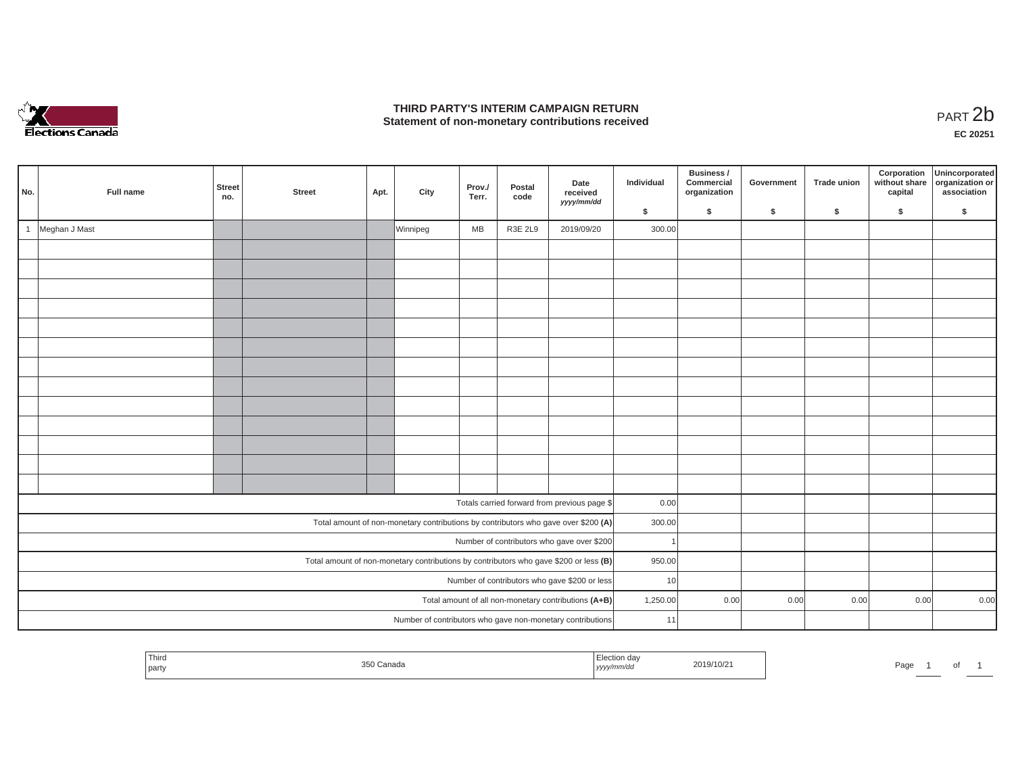

## **THIRD PARTY'S INTERIM CAMPAIGN RETURN**  THIRD PARTY'S INTERIM CAMPAIGN RETURN<br>Statement of non-monetary contributions received<br>**PART 2**b

**EC 20251**

| No.          | Full name     | <b>Street</b><br>no. | <b>Street</b> | Apt. | City     | Prov./<br>Terr. | Postal<br>code | Date<br>received<br>yyyy/mm/dd                                                        | Individual | Business /<br>Commercial<br>organization | Government | <b>Trade union</b> | Corporation<br>without share<br>capital | Unincorporated<br>organization or<br>association |
|--------------|---------------|----------------------|---------------|------|----------|-----------------|----------------|---------------------------------------------------------------------------------------|------------|------------------------------------------|------------|--------------------|-----------------------------------------|--------------------------------------------------|
|              |               |                      |               |      |          |                 |                |                                                                                       | \$         | \$                                       | \$         | \$                 | \$                                      | \$                                               |
| $\mathbf{1}$ | Meghan J Mast |                      |               |      | Winnipeg | MB              | R3E 2L9        | 2019/09/20                                                                            | 300.00     |                                          |            |                    |                                         |                                                  |
|              |               |                      |               |      |          |                 |                |                                                                                       |            |                                          |            |                    |                                         |                                                  |
|              |               |                      |               |      |          |                 |                |                                                                                       |            |                                          |            |                    |                                         |                                                  |
|              |               |                      |               |      |          |                 |                |                                                                                       |            |                                          |            |                    |                                         |                                                  |
|              |               |                      |               |      |          |                 |                |                                                                                       |            |                                          |            |                    |                                         |                                                  |
|              |               |                      |               |      |          |                 |                |                                                                                       |            |                                          |            |                    |                                         |                                                  |
|              |               |                      |               |      |          |                 |                |                                                                                       |            |                                          |            |                    |                                         |                                                  |
|              |               |                      |               |      |          |                 |                |                                                                                       |            |                                          |            |                    |                                         |                                                  |
|              |               |                      |               |      |          |                 |                |                                                                                       |            |                                          |            |                    |                                         |                                                  |
|              |               |                      |               |      |          |                 |                |                                                                                       |            |                                          |            |                    |                                         |                                                  |
|              |               |                      |               |      |          |                 |                |                                                                                       |            |                                          |            |                    |                                         |                                                  |
|              |               |                      |               |      |          |                 |                |                                                                                       |            |                                          |            |                    |                                         |                                                  |
|              |               |                      |               |      |          |                 |                |                                                                                       |            |                                          |            |                    |                                         |                                                  |
|              |               |                      |               |      |          |                 |                |                                                                                       |            |                                          |            |                    |                                         |                                                  |
|              |               |                      |               |      |          |                 |                | Totals carried forward from previous page \$                                          | 0.00       |                                          |            |                    |                                         |                                                  |
|              |               |                      |               |      |          |                 |                | Total amount of non-monetary contributions by contributors who gave over \$200 (A)    | 300.00     |                                          |            |                    |                                         |                                                  |
|              |               |                      |               |      |          |                 |                | Number of contributors who gave over \$200                                            |            |                                          |            |                    |                                         |                                                  |
|              |               |                      |               |      |          |                 |                | Total amount of non-monetary contributions by contributors who gave \$200 or less (B) | 950.00     |                                          |            |                    |                                         |                                                  |
|              |               |                      |               |      |          |                 |                | Number of contributors who gave \$200 or less                                         | 10         |                                          |            |                    |                                         |                                                  |
|              |               |                      |               |      |          |                 |                | Total amount of all non-monetary contributions (A+B)                                  | 1,250.00   | 0.00                                     | 0.00       | 0.00               | 0.00                                    | 0.00                                             |
|              |               |                      |               |      |          |                 |                | Number of contributors who gave non-monetary contributions                            | 11         |                                          |            |                    |                                         |                                                  |

| <b>Third</b><br>tion day<br>2019/10/21<br>250 Canada<br>Pag.<br>party<br>,,,,, |  |  |  |
|--------------------------------------------------------------------------------|--|--|--|
|--------------------------------------------------------------------------------|--|--|--|

 $\overline{\phantom{a}}$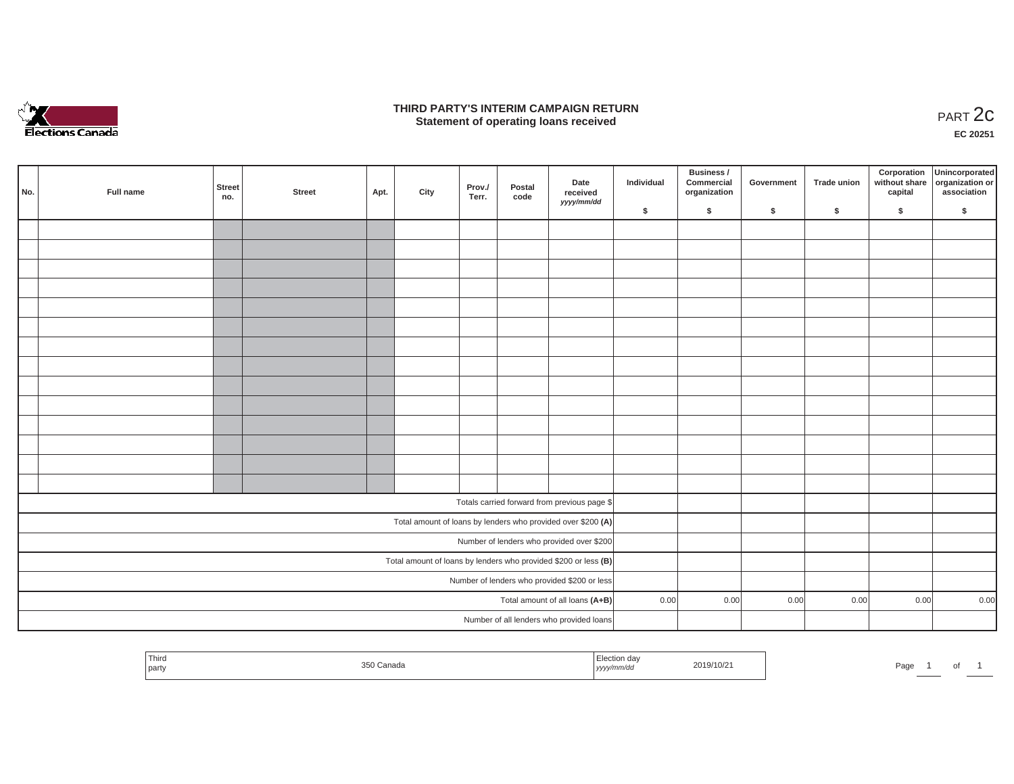

### **THIRD PARTY'S INTERIM CAMPAIGN RETURN**  RD PARTY'S INTERIM CAMPAIGN RETURN<br>Statement of operating loans received **PART 2c**

**EC 20251**

| No. | Full name | <b>Street</b><br>no. | <b>Street</b> | Apt. | City | Prov./<br>Terr. | Postal<br>code | Date<br>received<br>yyyy/mm/dd                                    | Individual | Business /<br>Commercial<br>organization | Government | Trade union | Corporation<br>capital | Unincorporated<br>without share organization or<br>association |
|-----|-----------|----------------------|---------------|------|------|-----------------|----------------|-------------------------------------------------------------------|------------|------------------------------------------|------------|-------------|------------------------|----------------------------------------------------------------|
|     |           |                      |               |      |      |                 |                |                                                                   | \$         | \$                                       | \$         | \$          | \$                     | \$                                                             |
|     |           |                      |               |      |      |                 |                |                                                                   |            |                                          |            |             |                        |                                                                |
|     |           |                      |               |      |      |                 |                |                                                                   |            |                                          |            |             |                        |                                                                |
|     |           |                      |               |      |      |                 |                |                                                                   |            |                                          |            |             |                        |                                                                |
|     |           |                      |               |      |      |                 |                |                                                                   |            |                                          |            |             |                        |                                                                |
|     |           |                      |               |      |      |                 |                |                                                                   |            |                                          |            |             |                        |                                                                |
|     |           |                      |               |      |      |                 |                |                                                                   |            |                                          |            |             |                        |                                                                |
|     |           |                      |               |      |      |                 |                |                                                                   |            |                                          |            |             |                        |                                                                |
|     |           |                      |               |      |      |                 |                |                                                                   |            |                                          |            |             |                        |                                                                |
|     |           |                      |               |      |      |                 |                |                                                                   |            |                                          |            |             |                        |                                                                |
|     |           |                      |               |      |      |                 |                |                                                                   |            |                                          |            |             |                        |                                                                |
|     |           |                      |               |      |      |                 |                |                                                                   |            |                                          |            |             |                        |                                                                |
|     |           |                      |               |      |      |                 |                |                                                                   |            |                                          |            |             |                        |                                                                |
|     |           |                      |               |      |      |                 |                |                                                                   |            |                                          |            |             |                        |                                                                |
|     |           |                      |               |      |      |                 |                |                                                                   |            |                                          |            |             |                        |                                                                |
|     |           |                      |               |      |      |                 |                |                                                                   |            |                                          |            |             |                        |                                                                |
|     |           |                      |               |      |      |                 |                | Totals carried forward from previous page \$                      |            |                                          |            |             |                        |                                                                |
|     |           |                      |               |      |      |                 |                | Total amount of loans by lenders who provided over \$200 (A)      |            |                                          |            |             |                        |                                                                |
|     |           |                      |               |      |      |                 |                | Number of lenders who provided over \$200                         |            |                                          |            |             |                        |                                                                |
|     |           |                      |               |      |      |                 |                | Total amount of loans by lenders who provided \$200 or less $(B)$ |            |                                          |            |             |                        |                                                                |
|     |           |                      |               |      |      |                 |                | Number of lenders who provided \$200 or less                      |            |                                          |            |             |                        |                                                                |
|     |           |                      |               |      |      |                 |                | Total amount of all loans (A+B)                                   | 0.00       | 0.00                                     | 0.00       | 0.00        | 0.00                   | 0.00                                                           |
|     |           |                      |               |      |      |                 |                | Number of all lenders who provided loans                          |            |                                          |            |             |                        |                                                                |
|     |           |                      |               |      |      |                 |                |                                                                   |            |                                          |            |             |                        |                                                                |

| $- \cdot$<br>l hird<br>part | Canada | ion day<br>נעצען | 2019/10/21 | Page | וש |  |
|-----------------------------|--------|------------------|------------|------|----|--|
|                             |        |                  |            |      |    |  |

and a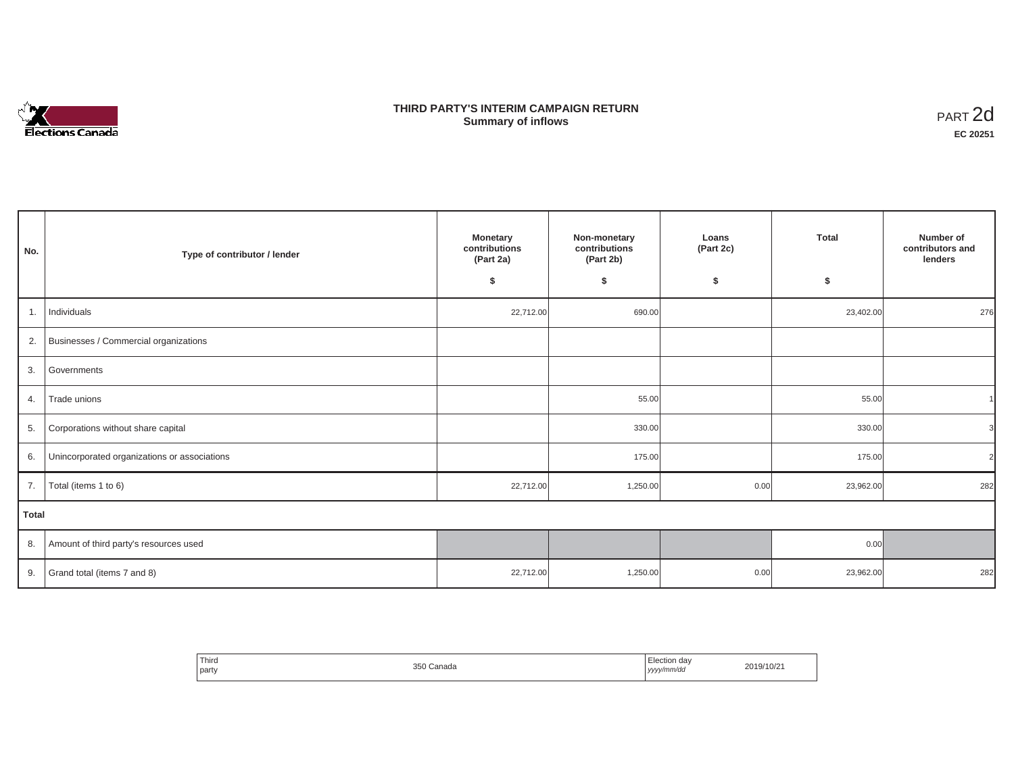

## **THIRD PARTY'S INTERIM CAMPAIGN RETURN SUMMARY STATE SUMMARY OF A SUMMARY OF A SUMMARY OF A SUMMARY OF A SUMMARY OF A SUMMARY OF A SUMMARY OF A SUMMA**<br> **Summary of inflows**

| No.   | Type of contributor / lender                 | <b>Monetary</b><br>contributions<br>(Part 2a)<br>\$ | Non-monetary<br>contributions<br>(Part 2b)<br>\$ | Loans<br>(Part 2c)<br>\$ | <b>Total</b><br>\$ | Number of<br>contributors and<br>lenders |
|-------|----------------------------------------------|-----------------------------------------------------|--------------------------------------------------|--------------------------|--------------------|------------------------------------------|
| 1.    | Individuals                                  | 22,712.00                                           | 690.00                                           |                          | 23,402.00          | 276                                      |
|       | 2. Businesses / Commercial organizations     |                                                     |                                                  |                          |                    |                                          |
| 3.    | Governments                                  |                                                     |                                                  |                          |                    |                                          |
| 4.    | Trade unions                                 |                                                     | 55.00                                            |                          | 55.00              |                                          |
|       | 5. Corporations without share capital        |                                                     | 330.00                                           |                          | 330.00             | $\mathcal{E}$                            |
| 6.    | Unincorporated organizations or associations |                                                     | 175.00                                           |                          | 175.00             | $\overline{2}$                           |
| 7.    | Total (items 1 to 6)                         | 22,712.00                                           | 1,250.00                                         | 0.00                     | 23,962.00          | 282                                      |
| Total |                                              |                                                     |                                                  |                          |                    |                                          |
|       | 8. Amount of third party's resources used    |                                                     |                                                  |                          | 0.00               |                                          |
| 9.    | Grand total (items 7 and 8)                  | 22,712.00                                           | 1,250.00                                         | 0.00                     | 23,962.00          | 282                                      |

| ' Third<br>party | 350 Canada | - -<br>Election day<br>.<br>yyyy/mm/da<br>,,,, | 2019/10/21 |
|------------------|------------|------------------------------------------------|------------|
|                  |            |                                                |            |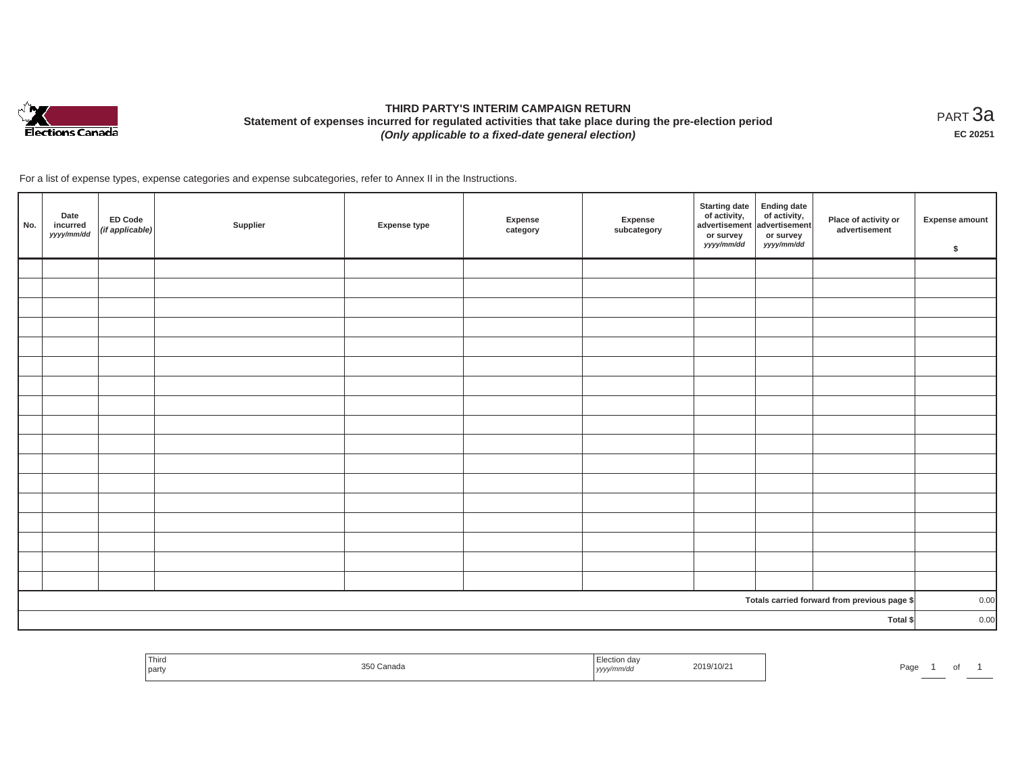

# **THIRD PARTY'S INTERIM CAMPAIGN RETURN Statement of expenses incurred for regulated activities that take place during the pre-election period**  *(Only applicable to a fixed-date general election)*

<code>PART $3$ a</code> **EC 20251**

| No. | Date<br>incurred<br>yyyy/mm/dd | <b>ED Code</b><br>(if applicable) | Supplier | <b>Expense type</b> | Expense<br>category | Expense<br>subcategory | <b>Starting date</b><br>of activity,<br>advertisement<br>or survey<br>yyyy/mm/dd | Ending date<br>of activity,<br>advertisement<br>or survey<br>yyyy/mm/dd | Place of activity or<br>advertisement        | <b>Expense amount</b><br>\$ |
|-----|--------------------------------|-----------------------------------|----------|---------------------|---------------------|------------------------|----------------------------------------------------------------------------------|-------------------------------------------------------------------------|----------------------------------------------|-----------------------------|
|     |                                |                                   |          |                     |                     |                        |                                                                                  |                                                                         |                                              |                             |
|     |                                |                                   |          |                     |                     |                        |                                                                                  |                                                                         |                                              |                             |
|     |                                |                                   |          |                     |                     |                        |                                                                                  |                                                                         |                                              |                             |
|     |                                |                                   |          |                     |                     |                        |                                                                                  |                                                                         |                                              |                             |
|     |                                |                                   |          |                     |                     |                        |                                                                                  |                                                                         |                                              |                             |
|     |                                |                                   |          |                     |                     |                        |                                                                                  |                                                                         |                                              |                             |
|     |                                |                                   |          |                     |                     |                        |                                                                                  |                                                                         |                                              |                             |
|     |                                |                                   |          |                     |                     |                        |                                                                                  |                                                                         |                                              |                             |
|     |                                |                                   |          |                     |                     |                        |                                                                                  |                                                                         |                                              |                             |
|     |                                |                                   |          |                     |                     |                        |                                                                                  |                                                                         |                                              |                             |
|     |                                |                                   |          |                     |                     |                        |                                                                                  |                                                                         |                                              |                             |
|     |                                |                                   |          |                     |                     |                        |                                                                                  |                                                                         |                                              |                             |
|     |                                |                                   |          |                     |                     |                        |                                                                                  |                                                                         |                                              |                             |
|     |                                |                                   |          |                     |                     |                        |                                                                                  |                                                                         |                                              |                             |
|     |                                |                                   |          |                     |                     |                        |                                                                                  |                                                                         |                                              |                             |
|     |                                |                                   |          |                     |                     |                        |                                                                                  |                                                                         |                                              |                             |
|     |                                |                                   |          |                     |                     |                        |                                                                                  |                                                                         |                                              |                             |
|     |                                |                                   |          |                     |                     |                        |                                                                                  |                                                                         | Totals carried forward from previous page \$ | 0.00                        |
|     |                                |                                   |          |                     |                     |                        |                                                                                  |                                                                         | Total \$                                     | 0.00                        |

| Third<br>ection dav<br>2019/10/2<br>350 Canada<br>Page<br>$\cdots$<br>part<br>  yyyy/mm/dd | O1 |  |  |  |
|--------------------------------------------------------------------------------------------|----|--|--|--|
|--------------------------------------------------------------------------------------------|----|--|--|--|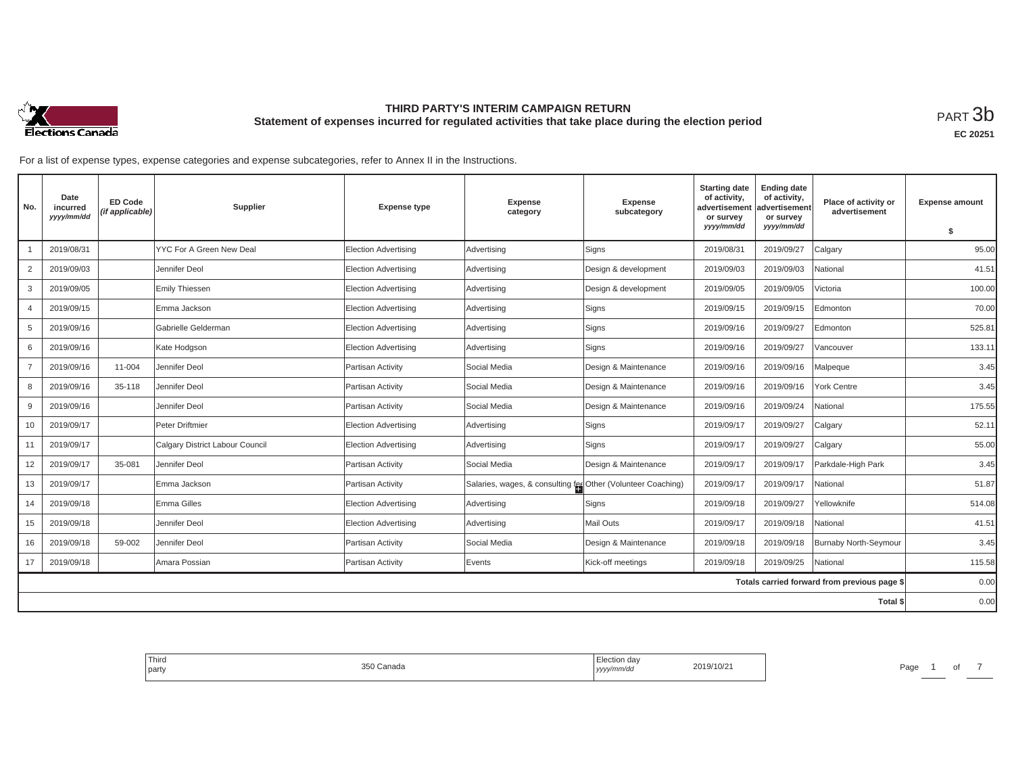

**EC 20251**

| No.            | Date<br>incurred<br>yyyy/mm/dd | <b>ED Code</b><br>(if applicable) | Supplier                        | <b>Expense type</b>         | <b>Expense</b><br>category                                   | <b>Expense</b><br>subcategory | <b>Starting date</b><br>of activity,<br>advertisemen<br>or survey | <b>Ending date</b><br>of activity,<br>advertisement<br>or survey | Place of activity or<br>advertisement        | <b>Expense amount</b> |
|----------------|--------------------------------|-----------------------------------|---------------------------------|-----------------------------|--------------------------------------------------------------|-------------------------------|-------------------------------------------------------------------|------------------------------------------------------------------|----------------------------------------------|-----------------------|
|                |                                |                                   |                                 |                             |                                                              |                               | yyyy/mm/dd                                                        | yyyy/mm/dd                                                       |                                              | \$                    |
|                | 2019/08/31                     |                                   | YYC For A Green New Deal        | <b>Election Advertising</b> | Advertising                                                  | Signs                         | 2019/08/31                                                        | 2019/09/27                                                       | Calgary                                      | 95.00                 |
| $\overline{2}$ | 2019/09/03                     |                                   | Jennifer Deol                   | Election Advertising        | Advertising                                                  | Design & development          | 2019/09/03                                                        | 2019/09/03                                                       | National                                     | 41.51                 |
| 3              | 2019/09/05                     |                                   | Emily Thiessen                  | Election Advertising        | Advertising                                                  | Design & development          | 2019/09/05                                                        | 2019/09/05                                                       | <b>Victoria</b>                              | 100.00                |
| $\overline{4}$ | 2019/09/15                     |                                   | Emma Jackson                    | <b>Election Advertising</b> | Advertising                                                  | Signs                         | 2019/09/15                                                        | 2019/09/15                                                       | Edmonton                                     | 70.00                 |
| 5              | 2019/09/16                     |                                   | Gabrielle Gelderman             | Election Advertising        | Advertising                                                  | Signs                         | 2019/09/16                                                        | 2019/09/27                                                       | Edmonton                                     | 525.81                |
| 6              | 2019/09/16                     |                                   | Kate Hodgson                    | Election Advertising        | Advertising                                                  | Signs                         | 2019/09/16                                                        | 2019/09/27                                                       | /ancouver                                    | 133.11                |
| $\overline{7}$ | 2019/09/16                     | 11-004                            | Jennifer Deol                   | Partisan Activity           | Social Media                                                 | Design & Maintenance          | 2019/09/16                                                        | 2019/09/16                                                       | Malpeque                                     | 3.45                  |
| 8              | 2019/09/16                     | 35-118                            | Jennifer Deol                   | Partisan Activity           | Social Media                                                 | Design & Maintenance          | 2019/09/16                                                        | 2019/09/16                                                       | York Centre                                  | 3.45                  |
| 9              | 2019/09/16                     |                                   | Jennifer Deol                   | Partisan Activity           | Social Media                                                 | Design & Maintenance          | 2019/09/16                                                        | 2019/09/24                                                       | National                                     | 175.55                |
| 10             | 2019/09/17                     |                                   | Peter Driftmier                 | Election Advertising        | Advertising                                                  | Signs                         | 2019/09/17                                                        | 2019/09/27                                                       | Calgary                                      | 52.11                 |
| 11             | 2019/09/17                     |                                   | Calgary District Labour Council | <b>Election Advertising</b> | Advertising                                                  | Signs                         | 2019/09/17                                                        | 2019/09/27                                                       | Calgary                                      | 55.00                 |
| 12             | 2019/09/17                     | 35-081                            | Jennifer Deol                   | Partisan Activity           | Social Media                                                 | Design & Maintenance          | 2019/09/17                                                        | 2019/09/17                                                       | Parkdale-High Park                           | 3.45                  |
| 13             | 2019/09/17                     |                                   | Emma Jackson                    | Partisan Activity           | Salaries, wages, & consulting fer Other (Volunteer Coaching) |                               | 2019/09/17                                                        | 2019/09/17                                                       | National                                     | 51.87                 |
| 14             | 2019/09/18                     |                                   | Emma Gilles                     | Election Advertising        | Advertising                                                  | Signs                         | 2019/09/18                                                        | 2019/09/27                                                       | Yellowknife                                  | 514.08                |
| 15             | 2019/09/18                     |                                   | Jennifer Deol                   | Election Advertising        | Advertising                                                  | Mail Outs                     | 2019/09/17                                                        | 2019/09/18                                                       | National                                     | 41.51                 |
| 16             | 2019/09/18                     | 59-002                            | Jennifer Deol                   | Partisan Activity           | Social Media                                                 | Design & Maintenance          | 2019/09/18                                                        | 2019/09/18                                                       | <b>Burnaby North-Seymour</b>                 | 3.45                  |
| 17             | 2019/09/18                     |                                   | Amara Possian                   | Partisan Activity           | Events                                                       | Kick-off meetings             | 2019/09/18                                                        | 2019/09/25                                                       | National                                     | 115.58                |
|                |                                |                                   |                                 |                             |                                                              |                               |                                                                   |                                                                  | Totals carried forward from previous page \$ | 0.00                  |
|                |                                |                                   |                                 |                             |                                                              |                               |                                                                   |                                                                  | Total \$                                     | 0.00                  |

| Thiro<br>the control of the control of<br>party | 350 Canada | Election dav<br>2019/10/21<br>yyyy/mm/dd | Page |
|-------------------------------------------------|------------|------------------------------------------|------|
|                                                 |            |                                          |      |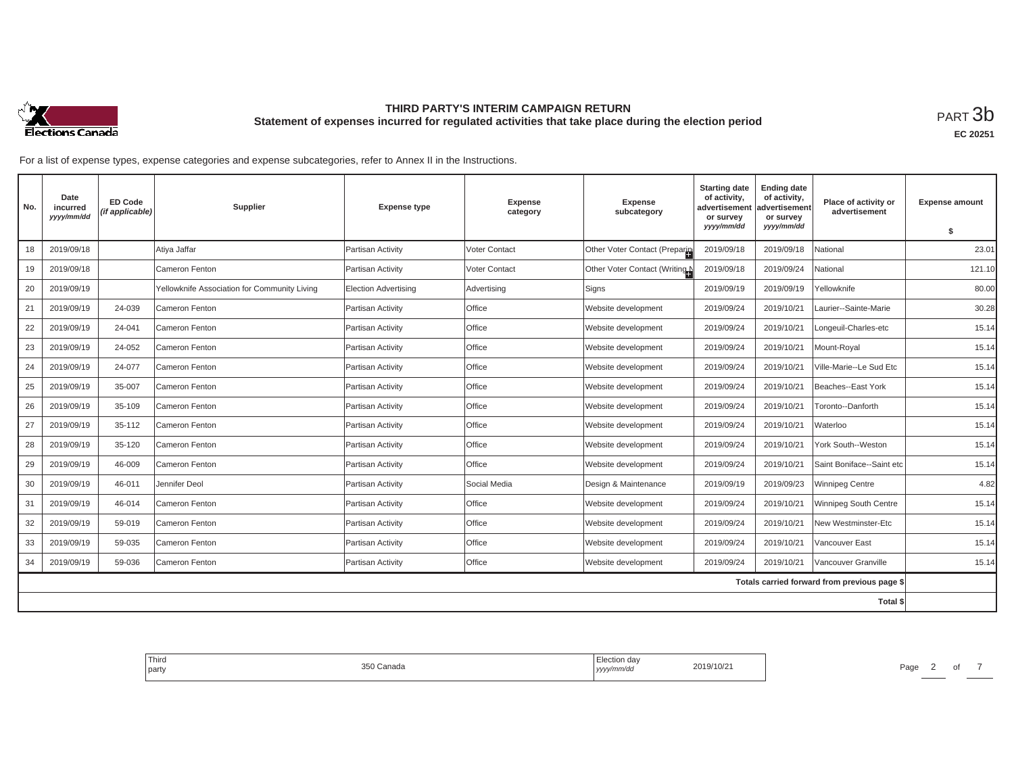

**EC 20251**

| No. | Date<br>incurred<br>yyyy/mm/dd | <b>ED Code</b><br>(if applicable) | <b>Supplier</b>                              | <b>Expense type</b>         | <b>Expense</b><br>category | <b>Expense</b><br>subcategory | <b>Starting date</b><br>of activity,<br>advertisement<br>or survey | <b>Ending date</b><br>of activity,<br>advertisement<br>or survey | Place of activity or<br>advertisement        | <b>Expense amount</b> |
|-----|--------------------------------|-----------------------------------|----------------------------------------------|-----------------------------|----------------------------|-------------------------------|--------------------------------------------------------------------|------------------------------------------------------------------|----------------------------------------------|-----------------------|
|     |                                |                                   |                                              |                             |                            |                               | yyyy/mm/dd                                                         | yyyy/mm/dd                                                       |                                              | S.                    |
| 18  | 2019/09/18                     |                                   | Atiya Jaffar                                 | Partisan Activity           | Voter Contact              | Other Voter Contact (Preparin | 2019/09/18                                                         | 2019/09/18                                                       | National                                     | 23.01                 |
| 19  | 2019/09/18                     |                                   | Cameron Fenton                               | Partisan Activity           | <b>Voter Contact</b>       | Other Voter Contact (Writing  | 2019/09/18                                                         | 2019/09/24                                                       | National                                     | 121.10                |
| 20  | 2019/09/19                     |                                   | Yellowknife Association for Community Living | <b>Election Advertising</b> | Advertising                | Signs                         | 2019/09/19                                                         | 2019/09/19                                                       | Yellowknife                                  | 80.00                 |
| 21  | 2019/09/19                     | 24-039                            | Cameron Fenton                               | Partisan Activity           | Office                     | Website development           | 2019/09/24                                                         | 2019/10/21                                                       | Laurier--Sainte-Marie                        | 30.28                 |
| 22  | 2019/09/19                     | 24-041                            | Cameron Fenton                               | Partisan Activity           | Office                     | Website development           | 2019/09/24                                                         | 2019/10/21                                                       | Longeuil-Charles-etc                         | 15.14                 |
| 23  | 2019/09/19                     | 24-052                            | Cameron Fenton                               | Partisan Activity           | Office                     | Website development           | 2019/09/24                                                         | 2019/10/21                                                       | Mount-Royal                                  | 15.14                 |
| 24  | 2019/09/19                     | 24-077                            | Cameron Fenton                               | Partisan Activity           | Office                     | Website development           | 2019/09/24                                                         | 2019/10/21                                                       | Ville-Marie--Le Sud Etc                      | 15.14                 |
| 25  | 2019/09/19                     | 35-007                            | Cameron Fenton                               | Partisan Activity           | Office                     | Website development           | 2019/09/24                                                         | 2019/10/21                                                       | Beaches--East York                           | 15.14                 |
| 26  | 2019/09/19                     | 35-109                            | Cameron Fenton                               | Partisan Activity           | Office                     | Website development           | 2019/09/24                                                         | 2019/10/21                                                       | Toronto--Danforth                            | 15.14                 |
| 27  | 2019/09/19                     | 35-112                            | Cameron Fenton                               | Partisan Activity           | Office                     | Website development           | 2019/09/24                                                         | 2019/10/21                                                       | Waterloo                                     | 15.14                 |
| 28  | 2019/09/19                     | 35-120                            | Cameron Fenton                               | Partisan Activity           | Office                     | Website development           | 2019/09/24                                                         | 2019/10/21                                                       | York South--Weston                           | 15.14                 |
| 29  | 2019/09/19                     | 46-009                            | Cameron Fenton                               | Partisan Activity           | Office                     | Website development           | 2019/09/24                                                         | 2019/10/21                                                       | Saint Boniface--Saint etc                    | 15.14                 |
| 30  | 2019/09/19                     | 46-011                            | Jennifer Deol                                | Partisan Activity           | Social Media               | Design & Maintenance          | 2019/09/19                                                         | 2019/09/23                                                       | <b>Winnipeg Centre</b>                       | 4.82                  |
| 31  | 2019/09/19                     | 46-014                            | Cameron Fenton                               | Partisan Activity           | Office                     | Website development           | 2019/09/24                                                         | 2019/10/21                                                       | Winnipeg South Centre                        | 15.14                 |
| 32  | 2019/09/19                     | 59-019                            | Cameron Fenton                               | Partisan Activity           | Office                     | Website development           | 2019/09/24                                                         | 2019/10/21                                                       | New Westminster-Etc                          | 15.14                 |
| 33  | 2019/09/19                     | 59-035                            | Cameron Fenton                               | Partisan Activity           | Office                     | Website development           | 2019/09/24                                                         | 2019/10/21                                                       | Vancouver East                               | 15.14                 |
| 34  | 2019/09/19                     | 59-036                            | Cameron Fenton                               | Partisan Activity           | Office                     | Website development           | 2019/09/24                                                         | 2019/10/21                                                       | Vancouver Granville                          | 15.14                 |
|     |                                |                                   |                                              |                             |                            |                               |                                                                    |                                                                  | Totals carried forward from previous page \$ |                       |
|     |                                |                                   |                                              |                             |                            |                               |                                                                    |                                                                  | <b>Total \$</b>                              |                       |

| Third<br>party | 350 Canada | Election day<br>yyyy/mm/dd | 2019/10/21 | Page |  |
|----------------|------------|----------------------------|------------|------|--|
|                |            |                            |            |      |  |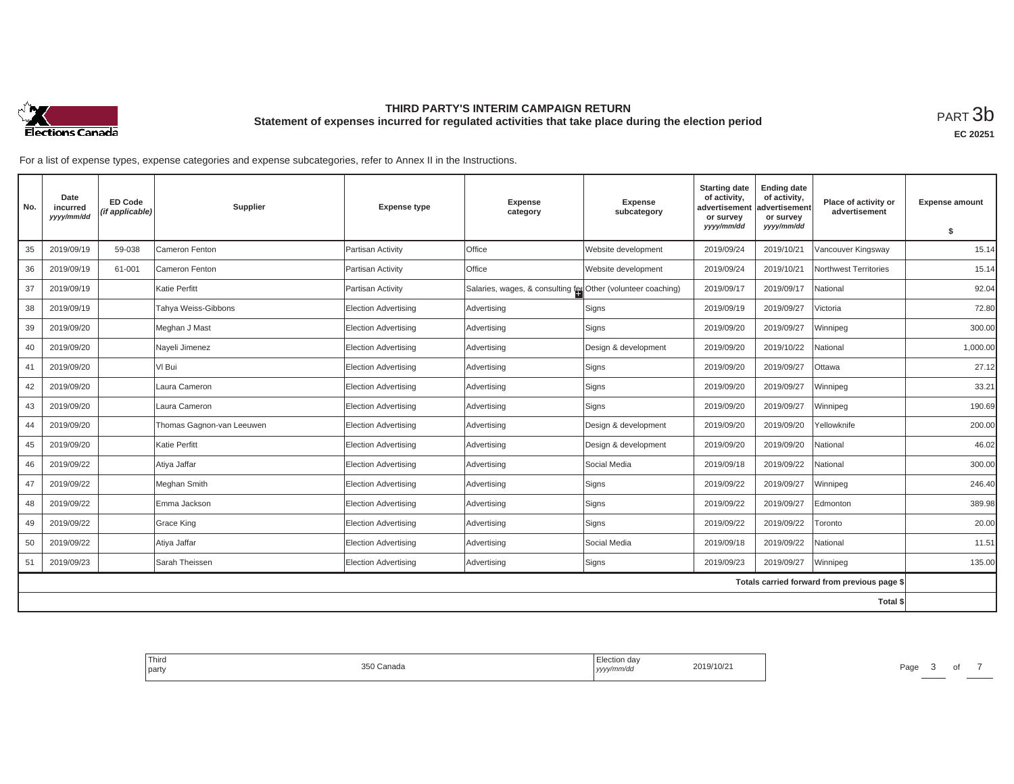

**EC 20251**

| No. | Date<br>incurred<br>yyyy/mm/dd | <b>ED Code</b><br>(if applicable) | Supplier                  | <b>Expense type</b>         | Expense<br>category                                          | <b>Expense</b><br>subcategory | <b>Starting date</b><br>of activity,<br>advertisement<br>or survey<br>yyyy/mm/dd | <b>Ending date</b><br>of activity,<br>advertisement<br>or survey<br>yyyy/mm/dd | Place of activity or<br>advertisement        | <b>Expense amount</b><br>\$ |
|-----|--------------------------------|-----------------------------------|---------------------------|-----------------------------|--------------------------------------------------------------|-------------------------------|----------------------------------------------------------------------------------|--------------------------------------------------------------------------------|----------------------------------------------|-----------------------------|
| 35  | 2019/09/19                     | 59-038                            | Cameron Fenton            | Partisan Activity           | Office                                                       | Website development           | 2019/09/24                                                                       | 2019/10/21                                                                     | Vancouver Kingsway                           | 15.14                       |
| 36  | 2019/09/19                     | 61-001                            | Cameron Fenton            | Partisan Activity           | Office                                                       | Website development           | 2019/09/24                                                                       | 2019/10/21                                                                     | Northwest Territories                        | 15.14                       |
| 37  | 2019/09/19                     |                                   | Katie Perfitt             | Partisan Activity           | Salaries, wages, & consulting fee Other (volunteer coaching) |                               | 2019/09/17                                                                       | 2019/09/17                                                                     | <b>National</b>                              | 92.04                       |
| 38  | 2019/09/19                     |                                   | Tahya Weiss-Gibbons       | Election Advertising        | Advertising                                                  | Signs                         | 2019/09/19                                                                       | 2019/09/27                                                                     | Victoria                                     | 72.80                       |
| 39  | 2019/09/20                     |                                   | Meghan J Mast             | <b>Election Advertising</b> | Advertising                                                  | Signs                         | 2019/09/20                                                                       | 2019/09/27                                                                     | Winnipeg                                     | 300.00                      |
| 40  | 2019/09/20                     |                                   | Nayeli Jimenez            | Election Advertising        | Advertising                                                  | Design & development          | 2019/09/20                                                                       | 2019/10/22                                                                     | <b>National</b>                              | 1,000.00                    |
| 41  | 2019/09/20                     |                                   | VI Bui                    | <b>Election Advertising</b> | Advertising                                                  | Signs                         | 2019/09/20                                                                       | 2019/09/27                                                                     | Ottawa                                       | 27.12                       |
| 42  | 2019/09/20                     |                                   | Laura Cameron             | Election Advertising        | Advertising                                                  | Signs                         | 2019/09/20                                                                       | 2019/09/27                                                                     | Winnipeg                                     | 33.21                       |
| 43  | 2019/09/20                     |                                   | Laura Cameron             | <b>Election Advertising</b> | Advertising                                                  | Signs                         | 2019/09/20                                                                       | 2019/09/27                                                                     | Winnipeg                                     | 190.69                      |
| 44  | 2019/09/20                     |                                   | Thomas Gagnon-van Leeuwen | Election Advertising        | Advertising                                                  | Design & development          | 2019/09/20                                                                       | 2019/09/20                                                                     | Yellowknife                                  | 200.00                      |
| 45  | 2019/09/20                     |                                   | Katie Perfitt             | <b>Election Advertising</b> | Advertising                                                  | Design & development          | 2019/09/20                                                                       | 2019/09/20                                                                     | National                                     | 46.02                       |
| 46  | 2019/09/22                     |                                   | Atiya Jaffar              | Election Advertising        | Advertising                                                  | Social Media                  | 2019/09/18                                                                       | 2019/09/22                                                                     | <b>National</b>                              | 300.00                      |
| 47  | 2019/09/22                     |                                   | Meghan Smith              | Election Advertising        | Advertising                                                  | Signs                         | 2019/09/22                                                                       | 2019/09/27                                                                     | Winnipeg                                     | 246.40                      |
| 48  | 2019/09/22                     |                                   | Emma Jackson              | Election Advertising        | Advertising                                                  | Signs                         | 2019/09/22                                                                       | 2019/09/27                                                                     | Edmonton                                     | 389.98                      |
| 49  | 2019/09/22                     |                                   | Grace King                | Election Advertising        | Advertising                                                  | Signs                         | 2019/09/22                                                                       | 2019/09/22                                                                     | Toronto                                      | 20.00                       |
| 50  | 2019/09/22                     |                                   | Atiya Jaffar              | Election Advertising        | Advertising                                                  | Social Media                  | 2019/09/18                                                                       | 2019/09/22                                                                     | National                                     | 11.51                       |
| 51  | 2019/09/23                     |                                   | Sarah Theissen            | <b>Election Advertising</b> | Advertising                                                  | Signs                         | 2019/09/23                                                                       | 2019/09/27                                                                     | Winnipeg                                     | 135.00                      |
|     |                                |                                   |                           |                             |                                                              |                               |                                                                                  |                                                                                | Totals carried forward from previous page \$ |                             |
|     |                                |                                   |                           |                             |                                                              |                               |                                                                                  |                                                                                | Total \$                                     |                             |

| Third<br>party | 0.50<br>Canada<br>35U | Election day<br>yyyy/mm/dd | 2019/10/21 | Page |  |
|----------------|-----------------------|----------------------------|------------|------|--|
|                |                       |                            |            |      |  |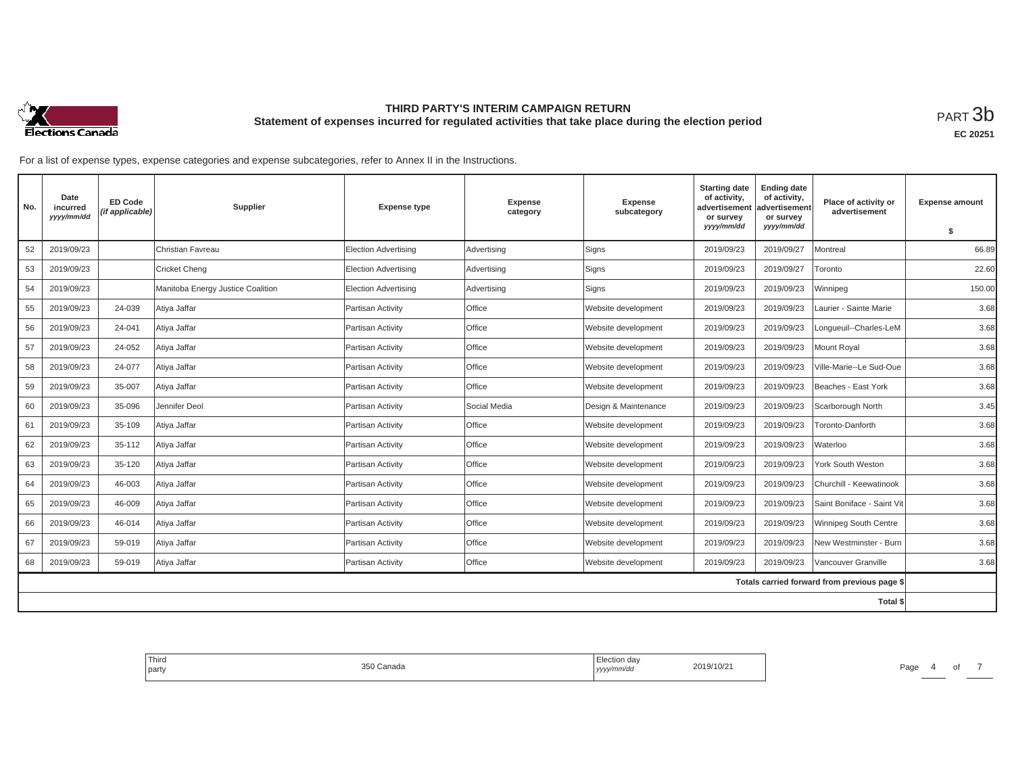

| No. | Date<br>incurred<br>yyyy/mm/dd | <b>ED Code</b><br>(if applicable) | Supplier                          | <b>Expense type</b>         | <b>Expense</b><br>category | <b>Expense</b><br>subcategory | <b>Starting date</b><br>of activity,<br>advertisement<br>or survey<br>yyyy/mm/dd | <b>Ending date</b><br>of activity,<br>advertisement<br>or survey<br>yyyy/mm/dd | Place of activity or<br>advertisement        | <b>Expense amount</b><br>s. |
|-----|--------------------------------|-----------------------------------|-----------------------------------|-----------------------------|----------------------------|-------------------------------|----------------------------------------------------------------------------------|--------------------------------------------------------------------------------|----------------------------------------------|-----------------------------|
| 52  | 2019/09/23                     |                                   | Christian Favreau                 | <b>Election Advertising</b> | Advertising                | Signs                         | 2019/09/23                                                                       | 2019/09/27                                                                     | Montreal                                     | 66.89                       |
|     |                                |                                   |                                   |                             |                            |                               |                                                                                  |                                                                                |                                              |                             |
| 53  | 2019/09/23                     |                                   | <b>Cricket Cheng</b>              | Election Advertising        | Advertising                | Signs                         | 2019/09/23                                                                       | 2019/09/27                                                                     | Toronto                                      | 22.60                       |
| 54  | 2019/09/23                     |                                   | Manitoba Energy Justice Coalition | Election Advertising        | Advertising                | Signs                         | 2019/09/23                                                                       | 2019/09/23                                                                     | Winnipeg                                     | 150.00                      |
| 55  | 2019/09/23                     | 24-039                            | Atiya Jaffar                      | Partisan Activity           | Office                     | Website development           | 2019/09/23                                                                       | 2019/09/23                                                                     | Laurier - Sainte Marie                       | 3.68                        |
| 56  | 2019/09/23                     | 24-041                            | Atiya Jaffar                      | Partisan Activity           | <b>Office</b>              | Website development           | 2019/09/23                                                                       | 2019/09/23                                                                     | Longueuil--Charles-LeM                       | 3.68                        |
| 57  | 2019/09/23                     | 24-052                            | Atiya Jaffar                      | Partisan Activity           | Office                     | Website development           | 2019/09/23                                                                       | 2019/09/23                                                                     | Mount Royal                                  | 3.68                        |
| 58  | 2019/09/23                     | 24-077                            | Atiya Jaffar                      | Partisan Activity           | <b>Office</b>              | Website development           | 2019/09/23                                                                       | 2019/09/23                                                                     | Ville-Marie--Le Sud-Oue                      | 3.68                        |
| 59  | 2019/09/23                     | 35-007                            | Atiya Jaffar                      | Partisan Activity           | <b>Office</b>              | Website development           | 2019/09/23                                                                       | 2019/09/23                                                                     | Beaches - East York                          | 3.68                        |
| 60  | 2019/09/23                     | 35-096                            | Jennifer Deol                     | Partisan Activity           | Social Media               | Design & Maintenance          | 2019/09/23                                                                       | 2019/09/23                                                                     | Scarborough North                            | 3.45                        |
| 61  | 2019/09/23                     | 35-109                            | Atiya Jaffar                      | Partisan Activity           | Office                     | Website development           | 2019/09/23                                                                       | 2019/09/23                                                                     | Toronto-Danforth                             | 3.68                        |
| 62  | 2019/09/23                     | 35-112                            | Atiya Jaffar                      | Partisan Activity           | Office                     | Website development           | 2019/09/23                                                                       | 2019/09/23                                                                     | Waterloo                                     | 3.68                        |
| 63  | 2019/09/23                     | 35-120                            | Atiya Jaffar                      | Partisan Activity           | <b>Office</b>              | Website development           | 2019/09/23                                                                       | 2019/09/23                                                                     | York South Weston                            | 3.68                        |
| 64  | 2019/09/23                     | 46-003                            | Atiya Jaffar                      | Partisan Activity           | Office                     | Website development           | 2019/09/23                                                                       | 2019/09/23                                                                     | Churchill - Keewatinook                      | 3.68                        |
| 65  | 2019/09/23                     | 46-009                            | Atiya Jaffar                      | Partisan Activity           | Office                     | Website development           | 2019/09/23                                                                       | 2019/09/23                                                                     | Saint Boniface - Saint Vit                   | 3.68                        |
| 66  | 2019/09/23                     | 46-014                            | Atiya Jaffar                      | Partisan Activity           | Office                     | Website development           | 2019/09/23                                                                       | 2019/09/23                                                                     | Winnipeg South Centre                        | 3.68                        |
| 67  | 2019/09/23                     | 59-019                            | Atiya Jaffar                      | Partisan Activity           | <b>Office</b>              | Website development           | 2019/09/23                                                                       | 2019/09/23                                                                     | New Westminster - Burn                       | 3.68                        |
| 68  | 2019/09/23                     | 59-019                            | Atiya Jaffar                      | Partisan Activity           | Office                     | Website development           | 2019/09/23                                                                       | 2019/09/23                                                                     | Vancouver Granville                          | 3.68                        |
|     |                                |                                   |                                   |                             |                            |                               |                                                                                  |                                                                                | Totals carried forward from previous page \$ |                             |
|     |                                |                                   |                                   |                             |                            |                               |                                                                                  |                                                                                | Total \$                                     |                             |

| Third<br>the control of the con-<br>part | ° Canada | n davس<br>EIGCHOF<br>, yyyy/mm/aa | 2019/10/21 | Page |  |
|------------------------------------------|----------|-----------------------------------|------------|------|--|
|                                          |          |                                   |            |      |  |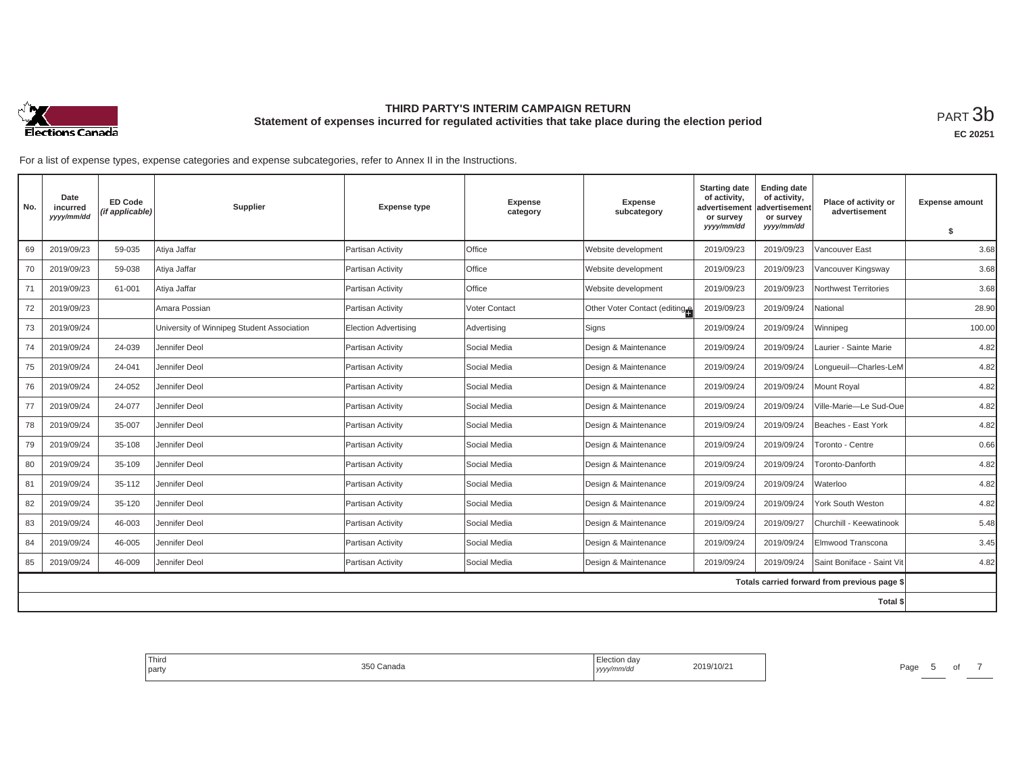

| No. | Date<br>incurred<br>yyyy/mm/dd | <b>ED Code</b><br>(if applicable) | Supplier                                   | <b>Expense type</b>         | <b>Expense</b><br>category | <b>Expense</b><br>subcategory | <b>Starting date</b><br>of activity,<br>advertisement<br>or survey<br>yyyy/mm/dd | <b>Ending date</b><br>of activity,<br>advertisement<br>or survey<br>yyyy/mm/dd | Place of activity or<br>advertisement        | <b>Expense amount</b><br>\$ |
|-----|--------------------------------|-----------------------------------|--------------------------------------------|-----------------------------|----------------------------|-------------------------------|----------------------------------------------------------------------------------|--------------------------------------------------------------------------------|----------------------------------------------|-----------------------------|
| 69  | 2019/09/23                     | 59-035                            | Atiya Jaffar                               | Partisan Activity           | Office                     | Website development           | 2019/09/23                                                                       | 2019/09/23                                                                     | Vancouver East                               | 3.68                        |
| 70  | 2019/09/23                     | 59-038                            | Atiya Jaffar                               | Partisan Activity           | <b>Office</b>              | Website development           | 2019/09/23                                                                       | 2019/09/23                                                                     | Vancouver Kingsway                           | 3.68                        |
| 71  | 2019/09/23                     | 61-001                            | Atiya Jaffar                               | Partisan Activity           | <b>Office</b>              | Website development           | 2019/09/23                                                                       | 2019/09/23                                                                     | Northwest Territories                        | 3.68                        |
| 72  | 2019/09/23                     |                                   | Amara Possian                              | Partisan Activity           | <b>Voter Contact</b>       | Other Voter Contact (editing  | 2019/09/23                                                                       | 2019/09/24                                                                     | National                                     | 28.90                       |
| 73  | 2019/09/24                     |                                   | University of Winnipeg Student Association | <b>Election Advertising</b> | Advertising                | Signs                         | 2019/09/24                                                                       | 2019/09/24                                                                     | Winnipeg                                     | 100.00                      |
| 74  | 2019/09/24                     | 24-039                            | Jennifer Deol                              | Partisan Activity           | Social Media               | Design & Maintenance          | 2019/09/24                                                                       | 2019/09/24                                                                     | Laurier - Sainte Marie                       | 4.82                        |
| 75  | 2019/09/24                     | 24-041                            | Jennifer Deol                              | Partisan Activity           | Social Media               | Design & Maintenance          | 2019/09/24                                                                       | 2019/09/24                                                                     | Longueuil-Charles-LeM                        | 4.82                        |
| 76  | 2019/09/24                     | 24-052                            | Jennifer Deol                              | Partisan Activity           | Social Media               | Design & Maintenance          | 2019/09/24                                                                       | 2019/09/24                                                                     | Mount Royal                                  | 4.82                        |
| 77  | 2019/09/24                     | 24-077                            | Jennifer Deol                              | Partisan Activity           | Social Media               | Design & Maintenance          | 2019/09/24                                                                       | 2019/09/24                                                                     | Ville-Marie-Le Sud-Oue                       | 4.82                        |
| 78  | 2019/09/24                     | 35-007                            | Jennifer Deol                              | Partisan Activity           | Social Media               | Design & Maintenance          | 2019/09/24                                                                       | 2019/09/24                                                                     | Beaches - East York                          | 4.82                        |
| 79  | 2019/09/24                     | 35-108                            | Jennifer Deol                              | Partisan Activity           | Social Media               | Design & Maintenance          | 2019/09/24                                                                       | 2019/09/24                                                                     | Toronto - Centre                             | 0.66                        |
| 80  | 2019/09/24                     | 35-109                            | Jennifer Deol                              | Partisan Activity           | Social Media               | Design & Maintenance          | 2019/09/24                                                                       | 2019/09/24                                                                     | Toronto-Danforth                             | 4.82                        |
| 81  | 2019/09/24                     | 35-112                            | Jennifer Deol                              | Partisan Activity           | Social Media               | Design & Maintenance          | 2019/09/24                                                                       | 2019/09/24                                                                     | Waterloo                                     | 4.82                        |
| 82  | 2019/09/24                     | 35-120                            | Jennifer Deol                              | Partisan Activity           | Social Media               | Design & Maintenance          | 2019/09/24                                                                       | 2019/09/24                                                                     | York South Weston                            | 4.82                        |
| 83  | 2019/09/24                     | 46-003                            | Jennifer Deol                              | Partisan Activity           | Social Media               | Design & Maintenance          | 2019/09/24                                                                       | 2019/09/27                                                                     | Churchill - Keewatinook                      | 5.48                        |
| 84  | 2019/09/24                     | 46-005                            | Jennifer Deol                              | Partisan Activity           | Social Media               | Design & Maintenance          | 2019/09/24                                                                       | 2019/09/24                                                                     | Elmwood Transcona                            | 3.45                        |
| 85  | 2019/09/24                     | 46-009                            | Jennifer Deol                              | Partisan Activity           | Social Media               | Design & Maintenance          | 2019/09/24                                                                       | 2019/09/24                                                                     | Saint Boniface - Saint Vit                   | 4.82                        |
|     |                                |                                   |                                            |                             |                            |                               |                                                                                  |                                                                                | Totals carried forward from previous page \$ |                             |
|     |                                |                                   |                                            |                             |                            |                               |                                                                                  |                                                                                | Total \$                                     |                             |

| Third<br>party | $\sim$ $\sim$<br>Canada | Election dav<br>$\cdots$<br>yyyy/mm/dd | 2019/10/21 | Page<br>. . |
|----------------|-------------------------|----------------------------------------|------------|-------------|
|                |                         |                                        |            |             |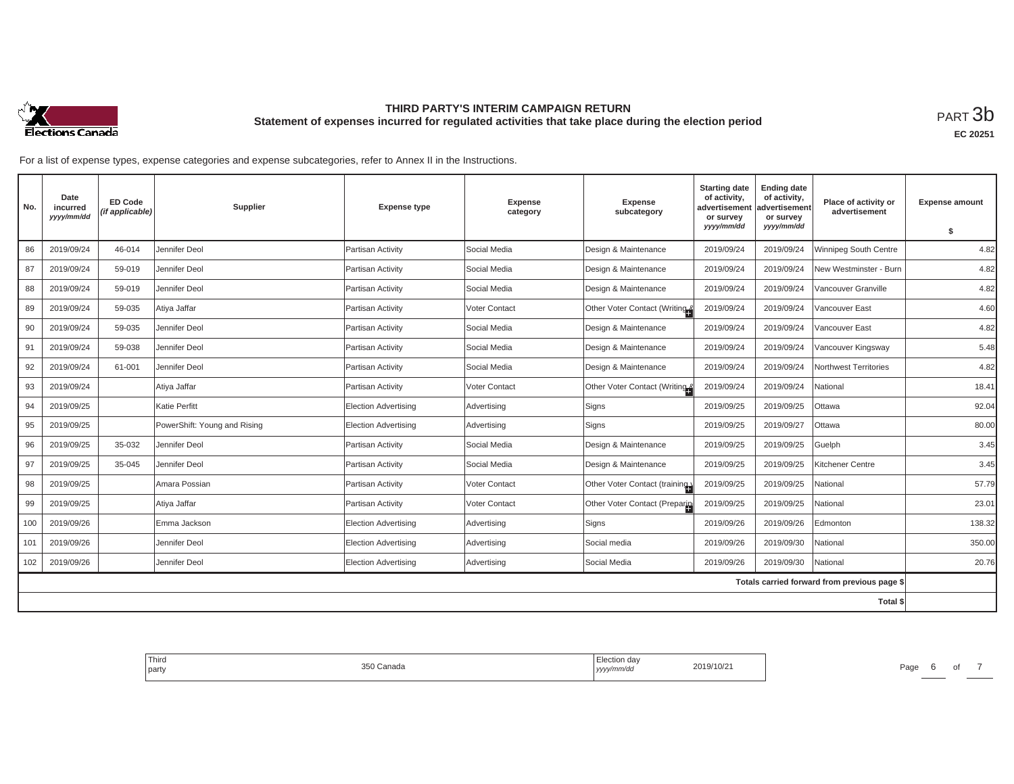

**EC 20251**

| No. | Date<br>incurred<br>yyyy/mm/dd | <b>ED Code</b><br>(if applicable) | Supplier                     | <b>Expense type</b>         | <b>Expense</b><br>category | <b>Expense</b><br>subcategory | <b>Starting date</b><br>of activity,<br>advertisement<br>or survey | <b>Ending date</b><br>of activity,<br>advertisement<br>or survey | Place of activity or<br>advertisement        | <b>Expense amount</b> |
|-----|--------------------------------|-----------------------------------|------------------------------|-----------------------------|----------------------------|-------------------------------|--------------------------------------------------------------------|------------------------------------------------------------------|----------------------------------------------|-----------------------|
|     |                                |                                   |                              |                             |                            |                               | yyyy/mm/dd                                                         | yyyy/mm/dd                                                       |                                              | \$                    |
| 86  | 2019/09/24                     | 46-014                            | Jennifer Deol                | Partisan Activity           | Social Media               | Design & Maintenance          | 2019/09/24                                                         | 2019/09/24                                                       | Winnipeg South Centre                        | 4.82                  |
| 87  | 2019/09/24                     | 59-019                            | Jennifer Deol                | Partisan Activity           | Social Media               | Design & Maintenance          | 2019/09/24                                                         | 2019/09/24                                                       | New Westminster - Burn                       | 4.82                  |
| 88  | 2019/09/24                     | 59-019                            | Jennifer Deol                | Partisan Activity           | Social Media               | Design & Maintenance          | 2019/09/24                                                         | 2019/09/24                                                       | Vancouver Granville                          | 4.82                  |
| 89  | 2019/09/24                     | 59-035                            | Atiya Jaffar                 | Partisan Activitv           | Voter Contact              | Other Voter Contact (Writing  | 2019/09/24                                                         | 2019/09/24                                                       | Vancouver East                               | 4.60                  |
| 90  | 2019/09/24                     | 59-035                            | Jennifer Deol                | Partisan Activity           | Social Media               | Design & Maintenance          | 2019/09/24                                                         | 2019/09/24                                                       | Vancouver East                               | 4.82                  |
| 91  | 2019/09/24                     | 59-038                            | Jennifer Deol                | Partisan Activity           | Social Media               | Design & Maintenance          | 2019/09/24                                                         | 2019/09/24                                                       | Vancouver Kingsway                           | 5.48                  |
| 92  | 2019/09/24                     | 61-001                            | Jennifer Deol                | Partisan Activity           | Social Media               | Design & Maintenance          | 2019/09/24                                                         | 2019/09/24                                                       | Northwest Territories                        | 4.82                  |
| 93  | 2019/09/24                     |                                   | Atiya Jaffar                 | Partisan Activity           | Voter Contact              | Other Voter Contact (Writing  | 2019/09/24                                                         | 2019/09/24                                                       | National                                     | 18.41                 |
| 94  | 2019/09/25                     |                                   | Katie Perfitt                | Election Advertising        | Advertising                | Signs                         | 2019/09/25                                                         | 2019/09/25                                                       | Ottawa                                       | 92.04                 |
| 95  | 2019/09/25                     |                                   | PowerShift: Young and Rising | Election Advertising        | Advertising                | Signs                         | 2019/09/25                                                         | 2019/09/27                                                       | Ottawa                                       | 80.00                 |
| 96  | 2019/09/25                     | 35-032                            | Jennifer Deol                | Partisan Activity           | Social Media               | Design & Maintenance          | 2019/09/25                                                         | 2019/09/25                                                       | Guelph                                       | 3.45                  |
| 97  | 2019/09/25                     | 35-045                            | Jennifer Deol                | Partisan Activity           | Social Media               | Design & Maintenance          | 2019/09/25                                                         | 2019/09/25                                                       | Kitchener Centre                             | 3.45                  |
| 98  | 2019/09/25                     |                                   | Amara Possian                | Partisan Activity           | <b>Voter Contact</b>       | Other Voter Contact (training | 2019/09/25                                                         | 2019/09/25                                                       | National                                     | 57.79                 |
| 99  | 2019/09/25                     |                                   | Atiya Jaffar                 | Partisan Activity           | Voter Contact              | Other Voter Contact (Preparin | 2019/09/25                                                         | 2019/09/25                                                       | National                                     | 23.01                 |
| 100 | 2019/09/26                     |                                   | Emma Jackson                 | Election Advertising        | Advertising                | Signs                         | 2019/09/26                                                         | 2019/09/26                                                       | Edmonton                                     | 138.32                |
| 101 | 2019/09/26                     |                                   | Jennifer Deol                | Election Advertising        | Advertising                | Social media                  | 2019/09/26                                                         | 2019/09/30                                                       | National                                     | 350.00                |
| 102 | 2019/09/26                     |                                   | Jennifer Deol                | <b>Election Advertising</b> | Advertising                | Social Media                  | 2019/09/26                                                         | 2019/09/30                                                       | National                                     | 20.76                 |
|     |                                |                                   |                              |                             |                            |                               |                                                                    |                                                                  | Totals carried forward from previous page \$ |                       |
|     |                                |                                   |                              |                             |                            |                               |                                                                    |                                                                  | Total \$                                     |                       |

| Third<br>party | 350 Canada | Election day<br>.<br>  yyyy/mm/dd | 2019/10/21 | Page<br>. . |  |
|----------------|------------|-----------------------------------|------------|-------------|--|
|                |            |                                   |            |             |  |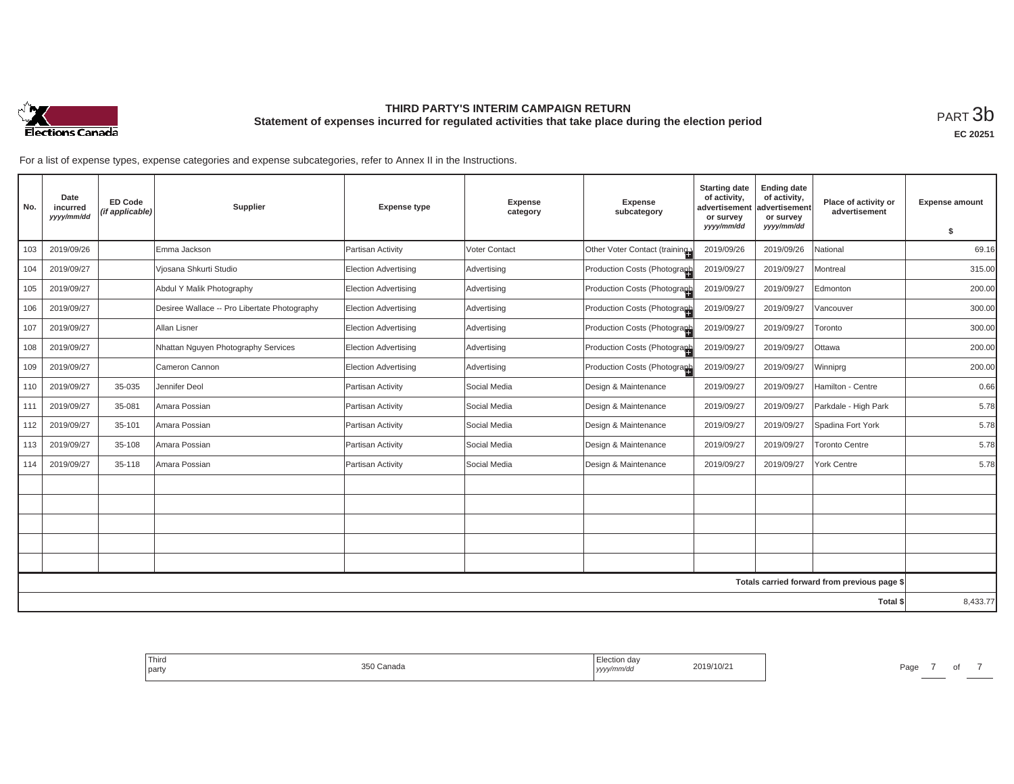

**EC 20251**

For a list of expense types, expense categories and expense subcategories, refer to Annex II in the Instructions.

| No. | Date<br>incurred<br>yyyy/mm/dd | <b>ED Code</b><br>(if applicable) | Supplier                                     | <b>Expense type</b>         | Expense<br>category | <b>Expense</b><br>subcategory  | <b>Starting date</b><br>of activity,<br>advertisement<br>or survey<br>yyyy/mm/dd | <b>Ending date</b><br>of activity,<br>advertisement<br>or survey<br>yyyy/mm/dd | Place of activity or<br>advertisement        | <b>Expense amount</b><br>\$ |
|-----|--------------------------------|-----------------------------------|----------------------------------------------|-----------------------------|---------------------|--------------------------------|----------------------------------------------------------------------------------|--------------------------------------------------------------------------------|----------------------------------------------|-----------------------------|
| 103 | 2019/09/26                     |                                   | Emma Jackson                                 | Partisan Activity           | Voter Contact       | Other Voter Contact (training) | 2019/09/26                                                                       | 2019/09/26                                                                     | National                                     | 69.16                       |
| 104 | 2019/09/27                     |                                   | Viosana Shkurti Studio                       | <b>Election Advertising</b> | Advertising         | Production Costs (Photograph   | 2019/09/27                                                                       | 2019/09/27                                                                     | Montreal                                     | 315.00                      |
| 105 | 2019/09/27                     |                                   | Abdul Y Malik Photography                    | <b>Election Advertising</b> | Advertising         | Production Costs (Photograph   | 2019/09/27                                                                       | 2019/09/27                                                                     | Edmonton                                     | 200.00                      |
| 106 | 2019/09/27                     |                                   | Desiree Wallace -- Pro Libertate Photography | <b>Election Advertising</b> | Advertising         | Production Costs (Photograph   | 2019/09/27                                                                       | 2019/09/27                                                                     | Vancouver                                    | 300.00                      |
| 107 | 2019/09/27                     |                                   | Allan Lisner                                 | <b>Election Advertising</b> | Advertising         | Production Costs (Photograph   | 2019/09/27                                                                       | 2019/09/27                                                                     | Toronto                                      | 300.00                      |
| 108 | 2019/09/27                     |                                   | Nhattan Nguyen Photography Services          | <b>Election Advertising</b> | Advertising         | Production Costs (Photograph   | 2019/09/27                                                                       | 2019/09/27                                                                     | Ottawa                                       | 200.00                      |
| 109 | 2019/09/27                     |                                   | Cameron Cannon                               | <b>Election Advertising</b> | Advertising         | Production Costs (Photograph   | 2019/09/27                                                                       | 2019/09/27                                                                     | Winniprg                                     | 200.00                      |
| 110 | 2019/09/27                     | 35-035                            | Jennifer Deol                                | Partisan Activity           | Social Media        | Design & Maintenance           | 2019/09/27                                                                       | 2019/09/27                                                                     | Hamilton - Centre                            | 0.66                        |
| 111 | 2019/09/27                     | 35-081                            | Amara Possian                                | Partisan Activity           | Social Media        | Design & Maintenance           | 2019/09/27                                                                       | 2019/09/27                                                                     | Parkdale - High Park                         | 5.78                        |
| 112 | 2019/09/27                     | 35-101                            | Amara Possian                                | Partisan Activity           | Social Media        | Design & Maintenance           | 2019/09/27                                                                       | 2019/09/27                                                                     | Spadina Fort York                            | 5.78                        |
| 113 | 2019/09/27                     | 35-108                            | Amara Possian                                | Partisan Activity           | Social Media        | Design & Maintenance           | 2019/09/27                                                                       | 2019/09/27                                                                     | <b>Toronto Centre</b>                        | 5.78                        |
| 114 | 2019/09/27                     | 35-118                            | Amara Possian                                | Partisan Activity           | Social Media        | Design & Maintenance           | 2019/09/27                                                                       | 2019/09/27                                                                     | York Centre                                  | 5.78                        |
|     |                                |                                   |                                              |                             |                     |                                |                                                                                  |                                                                                |                                              |                             |
|     |                                |                                   |                                              |                             |                     |                                |                                                                                  |                                                                                |                                              |                             |
|     |                                |                                   |                                              |                             |                     |                                |                                                                                  |                                                                                |                                              |                             |
|     |                                |                                   |                                              |                             |                     |                                |                                                                                  |                                                                                |                                              |                             |
|     |                                |                                   |                                              |                             |                     |                                |                                                                                  |                                                                                |                                              |                             |
|     |                                |                                   |                                              |                             |                     |                                |                                                                                  |                                                                                | Totals carried forward from previous page \$ |                             |
|     |                                |                                   |                                              |                             |                     |                                |                                                                                  |                                                                                | Total \$                                     | 8,433.77                    |

Third party 350 Canada Election day *yyyy/mm/dd* 2019/10/21 Page <sup>7</sup> of <sup>7</sup>